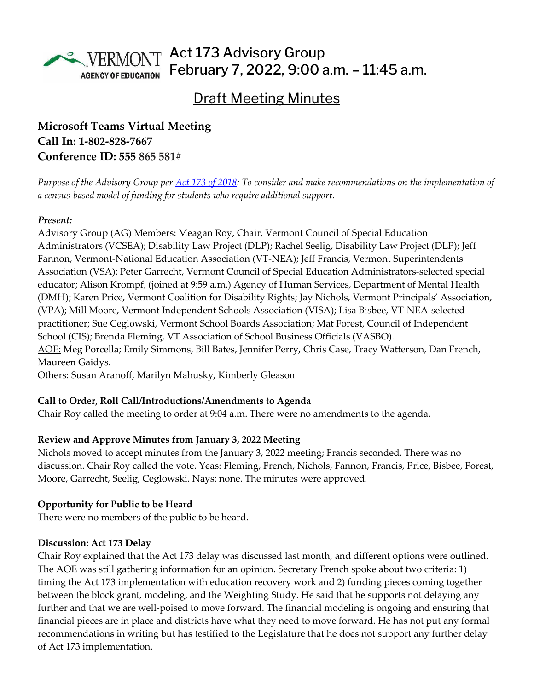

Act 173 Advisory Group February 7, 2022, 9:00 a.m. – 11:45 a.m.

# Draft Meeting Minutes

# **Microsoft Teams Virtual Meeting Call In: [1-802-828-7667](about:blank)  Conference ID: 555 865 581#**

*Purpose of the Advisory Group per [Act 173 of 2018:](https://legislature.vermont.gov/Documents/2018/Docs/ACTS/ACT173/ACT173%20As%20Enacted.pdf) To consider and make recommendations on the implementation of a census-based model of funding for students who require additional support.*

#### *Present:*

Advisory Group (AG) Members: Meagan Roy, Chair, Vermont Council of Special Education Administrators (VCSEA); Disability Law Project (DLP); Rachel Seelig, Disability Law Project (DLP); Jeff Fannon, Vermont-National Education Association (VT-NEA); Jeff Francis, Vermont Superintendents Association (VSA); Peter Garrecht, Vermont Council of Special Education Administrators-selected special educator; Alison Krompf, (joined at 9:59 a.m.) Agency of Human Services, Department of Mental Health (DMH); Karen Price, Vermont Coalition for Disability Rights; Jay Nichols, Vermont Principals' Association, (VPA); Mill Moore, Vermont Independent Schools Association (VISA); Lisa Bisbee, VT-NEA-selected practitioner; Sue Ceglowski, Vermont School Boards Association; Mat Forest, Council of Independent School (CIS); Brenda Fleming, VT Association of School Business Officials (VASBO). AOE: Meg Porcella; Emily Simmons, Bill Bates, Jennifer Perry, Chris Case, Tracy Watterson, Dan French, Maureen Gaidys.

Others: Susan Aranoff, Marilyn Mahusky, Kimberly Gleason

#### **Call to Order, Roll Call/Introductions/Amendments to Agenda**

Chair Roy called the meeting to order at 9:04 a.m. There were no amendments to the agenda.

## **Review and Approve Minutes from January 3, 2022 Meeting**

Nichols moved to accept minutes from the January 3, 2022 meeting; Francis seconded. There was no discussion. Chair Roy called the vote. Yeas: Fleming, French, Nichols, Fannon, Francis, Price, Bisbee, Forest, Moore, Garrecht, Seelig, Ceglowski. Nays: none. The minutes were approved.

## **Opportunity for Public to be Heard**

There were no members of the public to be heard.

#### **Discussion: Act 173 Delay**

Chair Roy explained that the Act 173 delay was discussed last month, and different options were outlined. The AOE was still gathering information for an opinion. Secretary French spoke about two criteria: 1) timing the Act 173 implementation with education recovery work and 2) funding pieces coming together between the block grant, modeling, and the Weighting Study. He said that he supports not delaying any further and that we are well-poised to move forward. The financial modeling is ongoing and ensuring that financial pieces are in place and districts have what they need to move forward. He has not put any formal recommendations in writing but has testified to the Legislature that he does not support any further delay of Act 173 implementation.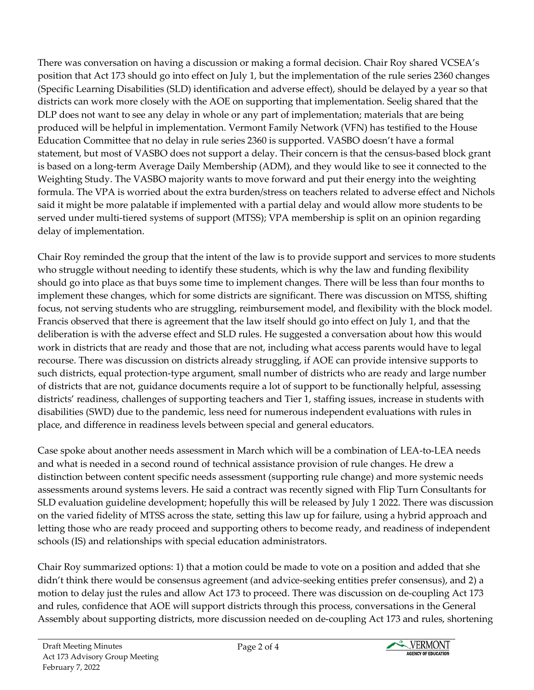There was conversation on having a discussion or making a formal decision. Chair Roy shared VCSEA's position that Act 173 should go into effect on July 1, but the implementation of the rule series 2360 changes (Specific Learning Disabilities (SLD) identification and adverse effect), should be delayed by a year so that districts can work more closely with the AOE on supporting that implementation. Seelig shared that the DLP does not want to see any delay in whole or any part of implementation; materials that are being produced will be helpful in implementation. Vermont Family Network (VFN) has testified to the House Education Committee that no delay in rule series 2360 is supported. VASBO doesn't have a formal statement, but most of VASBO does not support a delay. Their concern is that the census-based block grant is based on a long-term Average Daily Membership (ADM), and they would like to see it connected to the Weighting Study. The VASBO majority wants to move forward and put their energy into the weighting formula. The VPA is worried about the extra burden/stress on teachers related to adverse effect and Nichols said it might be more palatable if implemented with a partial delay and would allow more students to be served under multi-tiered systems of support (MTSS); VPA membership is split on an opinion regarding delay of implementation.

Chair Roy reminded the group that the intent of the law is to provide support and services to more students who struggle without needing to identify these students, which is why the law and funding flexibility should go into place as that buys some time to implement changes. There will be less than four months to implement these changes, which for some districts are significant. There was discussion on MTSS, shifting focus, not serving students who are struggling, reimbursement model, and flexibility with the block model. Francis observed that there is agreement that the law itself should go into effect on July 1, and that the deliberation is with the adverse effect and SLD rules. He suggested a conversation about how this would work in districts that are ready and those that are not, including what access parents would have to legal recourse. There was discussion on districts already struggling, if AOE can provide intensive supports to such districts, equal protection-type argument, small number of districts who are ready and large number of districts that are not, guidance documents require a lot of support to be functionally helpful, assessing districts' readiness, challenges of supporting teachers and Tier 1, staffing issues, increase in students with disabilities (SWD) due to the pandemic, less need for numerous independent evaluations with rules in place, and difference in readiness levels between special and general educators.

Case spoke about another needs assessment in March which will be a combination of LEA-to-LEA needs and what is needed in a second round of technical assistance provision of rule changes. He drew a distinction between content specific needs assessment (supporting rule change) and more systemic needs assessments around systems levers. He said a contract was recently signed with Flip Turn Consultants for SLD evaluation guideline development; hopefully this will be released by July 1 2022. There was discussion on the varied fidelity of MTSS across the state, setting this law up for failure, using a hybrid approach and letting those who are ready proceed and supporting others to become ready, and readiness of independent schools (IS) and relationships with special education administrators.

Chair Roy summarized options: 1) that a motion could be made to vote on a position and added that she didn't think there would be consensus agreement (and advice-seeking entities prefer consensus), and 2) a motion to delay just the rules and allow Act 173 to proceed. There was discussion on de-coupling Act 173 and rules, confidence that AOE will support districts through this process, conversations in the General Assembly about supporting districts, more discussion needed on de-coupling Act 173 and rules, shortening

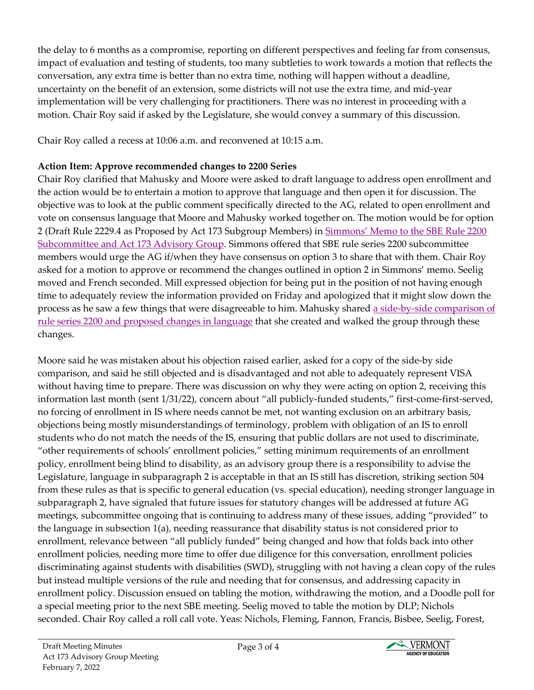the delay to 6 months as a compromise, reporting on different perspectives and feeling far from consensus, impact of evaluation and testing of students, too many subtleties to work towards a motion that reflects the conversation, any extra time is better than no extra time, nothing will happen without a deadline, uncertainty on the benefit of an extension, some districts will not use the extra time, and mid-year implementation will be very challenging for practitioners. There was no interest in proceeding with a motion. Chair Roy said if asked by the Legislature, she would convey a summary of this discussion.

Chair Roy called a recess at 10:06 a.m. and reconvened at 10:15 a.m.

## **Action Item: Approve recommended changes to 2200 Series**

Chair Roy clarified that Mahusky and Moore were asked to draft language to address open enrollment and the action would be to entertain a motion to approve that language and then open it for discussion. The objective was to look at the public comment specifically directed to the AG, related to open enrollment and vote on consensus language that Moore and Mahusky worked together on. The motion would be for option 2 (Draft Rule 2229.4 as Proposed by Act 173 Subgroup Members) in Simmons' [Memo to the SBE Rule 2200](https://education.vermont.gov/document/Memo-revised%20to%20SBE%20Committee%20and%20Act%20173%20AG-Proposal%20for%20Rule%202229.4)  [Subcommittee and Act 173 Advisory Group.](https://education.vermont.gov/document/Memo-revised%20to%20SBE%20Committee%20and%20Act%20173%20AG-Proposal%20for%20Rule%202229.4) Simmons offered that SBE rule series 2200 subcommittee members would urge the AG if/when they have consensus on option 3 to share that with them. Chair Roy asked for a motion to approve or recommend the changes outlined in option 2 in Simmons' memo. Seelig moved and French seconded. Mill expressed objection for being put in the position of not having enough time to adequately review the information provided on Friday and apologized that it might slow down the process as he saw a few things that were disagreeable to him. Mahusky shared [a side-by-side comparison of](https://education.vermont.gov/document/Rule%202200%20side%20by%20side%20w%20AOE%20proposed%20changes-2-7-22)  [rule series 2200 and proposed changes in language](https://education.vermont.gov/document/Rule%202200%20side%20by%20side%20w%20AOE%20proposed%20changes-2-7-22) that she created and walked the group through these changes.

Moore said he was mistaken about his objection raised earlier, asked for a copy of the side-by side comparison, and said he still objected and is disadvantaged and not able to adequately represent VISA without having time to prepare. There was discussion on why they were acting on option 2, receiving this information last month (sent 1/31/22), concern about "all publicly-funded students," first-come-first-served, no forcing of enrollment in IS where needs cannot be met, not wanting exclusion on an arbitrary basis, objections being mostly misunderstandings of terminology, problem with obligation of an IS to enroll students who do not match the needs of the IS, ensuring that public dollars are not used to discriminate, "other requirements of schools' enrollment policies," setting minimum requirements of an enrollment policy, enrollment being blind to disability, as an advisory group there is a responsibility to advise the Legislature, language in subparagraph 2 is acceptable in that an IS still has discretion, striking section 504 from these rules as that is specific to general education (vs. special education), needing stronger language in subparagraph 2, have signaled that future issues for statutory changes will be addressed at future AG meetings, subcommittee ongoing that is continuing to address many of these issues, adding "provided" to the language in subsection 1(a), needing reassurance that disability status is not considered prior to enrollment, relevance between "all publicly funded" being changed and how that folds back into other enrollment policies, needing more time to offer due diligence for this conversation, enrollment policies discriminating against students with disabilities (SWD), struggling with not having a clean copy of the rules but instead multiple versions of the rule and needing that for consensus, and addressing capacity in enrollment policy. Discussion ensued on tabling the motion, withdrawing the motion, and a Doodle poll for a special meeting prior to the next SBE meeting. Seelig moved to table the motion by DLP; Nichols seconded. Chair Roy called a roll call vote. Yeas: Nichols, Fleming, Fannon, Francis, Bisbee, Seelig, Forest,